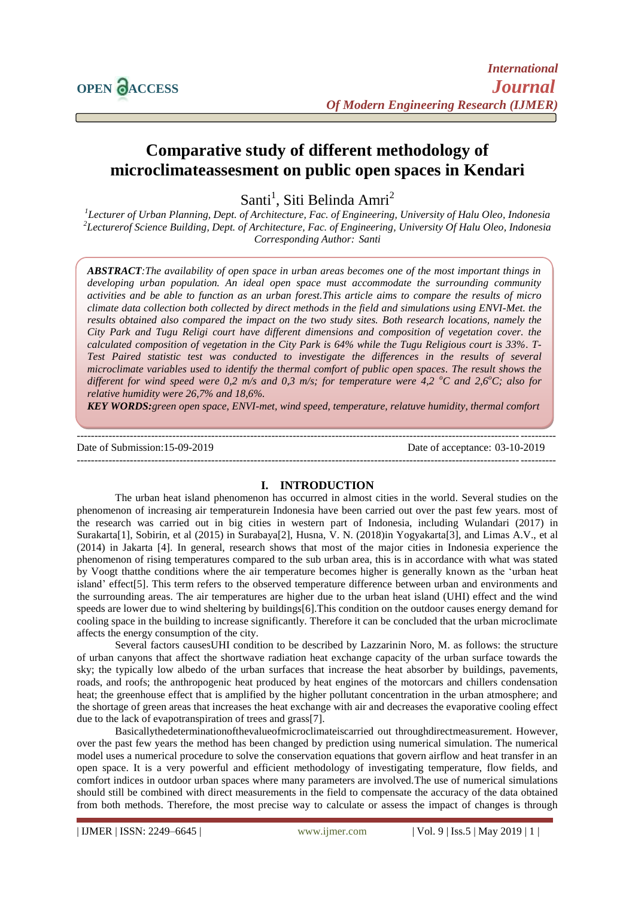

# **Comparative study of different methodology of microclimateassesment on public open spaces in Kendari**

Santi<sup>1</sup>, Siti Belinda Amri<sup>2</sup>

*1 Lecturer of Urban Planning, Dept. of Architecture, Fac. of Engineering, University of Halu Oleo, Indonesia 2 Lecturerof Science Building, Dept. of Architecture, Fac. of Engineering, University Of Halu Oleo, Indonesia Corresponding Author: Santi*

*ABSTRACT:The availability of open space in urban areas becomes one of the most important things in developing urban population. An ideal open space must accommodate the surrounding community activities and be able to function as an urban forest.This article aims to compare the results of micro climate data collection both collected by direct methods in the field and simulations using ENVI-Met. the results obtained also compared the impact on the two study sites. Both research locations, namely the City Park and Tugu Religi court have different dimensions and composition of vegetation cover. the calculated composition of vegetation in the City Park is 64% while the Tugu Religious court is 33%. T-Test Paired statistic test was conducted to investigate the differences in the results of several microclimate variables used to identify the thermal comfort of public open spaces. The result shows the different for wind speed were 0,2 m/s and 0,3 m/s; for temperature were 4,2 <sup>o</sup>C and 2,6<sup>o</sup>C; also for relative humidity were 26,7% and 18,6%.*

*KEY WORDS:green open space, ENVI-met, wind speed, temperature, relatuve humidity, thermal comfort*

#### --------------------------------------------------------------------------------------------------------------------------------------- Date of Submission:15-09-2019 Date of acceptance: 03-10-2019 ---------------------------------------------------------------------------------------------------------------------------------------

## **I. INTRODUCTION**

The urban heat island phenomenon has occurred in almost cities in the world. Several studies on the phenomenon of increasing air temperaturein Indonesia have been carried out over the past few years. most of the research was carried out in big cities in western part of Indonesia, including Wulandari (2017) in Surakarta[1], Sobirin, et al (2015) in Surabaya[2], Husna, V. N. (2018)in Yogyakarta[3], and Limas A.V., et al (2014) in Jakarta [4]. In general, research shows that most of the major cities in Indonesia experience the phenomenon of rising temperatures compared to the sub urban area, this is in accordance with what was stated by Voogt thatthe conditions where the air temperature becomes higher is generally known as the "urban heat island" effect[5]. This term refers to the observed temperature difference between urban and environments and the surrounding areas. The air temperatures are higher due to the urban heat island (UHI) effect and the wind speeds are lower due to wind sheltering by buildings[6].This condition on the outdoor causes energy demand for cooling space in the building to increase significantly. Therefore it can be concluded that the urban microclimate affects the energy consumption of the city.

Several factors causesUHI condition to be described by Lazzarinin Noro, M. as follows: the structure of urban canyons that affect the shortwave radiation heat exchange capacity of the urban surface towards the sky; the typically low albedo of the urban surfaces that increase the heat absorber by buildings, pavements, roads, and roofs; the anthropogenic heat produced by heat engines of the motorcars and chillers condensation heat; the greenhouse effect that is amplified by the higher pollutant concentration in the urban atmosphere; and the shortage of green areas that increases the heat exchange with air and decreases the evaporative cooling effect due to the lack of evapotranspiration of trees and grass[7].

Basicallythedeterminationofthevalueofmicroclimateiscarried out throughdirectmeasurement. However, over the past few years the method has been changed by prediction using numerical simulation. The numerical model uses a numerical procedure to solve the conservation equations that govern airflow and heat transfer in an open space. It is a very powerful and efficient methodology of investigating temperature, flow fields, and comfort indices in outdoor urban spaces where many parameters are involved.The use of numerical simulations should still be combined with direct measurements in the field to compensate the accuracy of the data obtained from both methods. Therefore, the most precise way to calculate or assess the impact of changes is through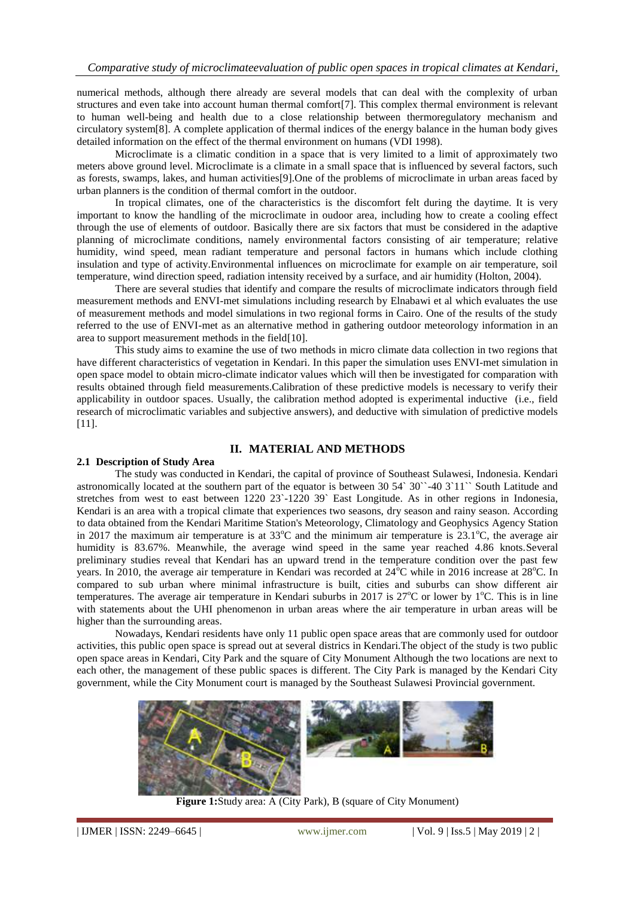numerical methods, although there already are several models that can deal with the complexity of urban structures and even take into account human thermal comfort[7]. This complex thermal environment is relevant to human well-being and health due to a close relationship between thermoregulatory mechanism and circulatory system[8]. A complete application of thermal indices of the energy balance in the human body gives detailed information on the effect of the thermal environment on humans (VDI 1998).

Microclimate is a climatic condition in a space that is very limited to a limit of approximately two meters above ground level. Microclimate is a climate in a small space that is influenced by several factors, such as forests, swamps, lakes, and human activities[9].One of the problems of microclimate in urban areas faced by urban planners is the condition of thermal comfort in the outdoor.

In tropical climates, one of the characteristics is the discomfort felt during the daytime. It is very important to know the handling of the microclimate in oudoor area, including how to create a cooling effect through the use of elements of outdoor. Basically there are six factors that must be considered in the adaptive planning of microclimate conditions, namely environmental factors consisting of air temperature; relative humidity, wind speed, mean radiant temperature and personal factors in humans which include clothing insulation and type of activity.Environmental influences on microclimate for example on air temperature, soil temperature, wind direction speed, radiation intensity received by a surface, and air humidity (Holton, 2004).

There are several studies that identify and compare the results of microclimate indicators through field measurement methods and ENVI-met simulations including research by Elnabawi et al which evaluates the use of measurement methods and model simulations in two regional forms in Cairo. One of the results of the study referred to the use of ENVI-met as an alternative method in gathering outdoor meteorology information in an area to support measurement methods in the field[10].

This study aims to examine the use of two methods in micro climate data collection in two regions that have different characteristics of vegetation in Kendari. In this paper the simulation uses ENVI-met simulation in open space model to obtain micro-climate indicator values which will then be investigated for comparation with results obtained through field measurements.Calibration of these predictive models is necessary to verify their applicability in outdoor spaces. Usually, the calibration method adopted is experimental inductive (i.e., field research of microclimatic variables and subjective answers), and deductive with simulation of predictive models [11].

## **II. MATERIAL AND METHODS**

#### **2.1 Description of Study Area**

The study was conducted in Kendari, the capital of province of Southeast Sulawesi, Indonesia. Kendari astronomically located at the southern part of the equator is between 30 54` 30``-40 3`11`` South Latitude and stretches from west to east between 1220 23`-1220 39` East Longitude. As in other regions in Indonesia, Kendari is an area with a tropical climate that experiences two seasons, dry season and rainy season. According to data obtained from the Kendari Maritime Station's Meteorology, Climatology and Geophysics Agency Station in 2017 the maximum air temperature is at  $33^{\circ}$ C and the minimum air temperature is  $23.1^{\circ}$ C, the average air humidity is 83.67%. Meanwhile, the average wind speed in the same year reached 4.86 knots.Several preliminary studies reveal that Kendari has an upward trend in the temperature condition over the past few years. In 2010, the average air temperature in Kendari was recorded at 24<sup>o</sup>C while in 2016 increase at 28<sup>o</sup>C. In compared to sub urban where minimal infrastructure is built, cities and suburbs can show different air temperatures. The average air temperature in Kendari suburbs in 2017 is  $27^{\circ}$ C or lower by 1<sup>o</sup>C. This is in line with statements about the UHI phenomenon in urban areas where the air temperature in urban areas will be higher than the surrounding areas.

Nowadays, Kendari residents have only 11 public open space areas that are commonly used for outdoor activities, this public open space is spread out at several districs in Kendari.The object of the study is two public open space areas in Kendari, City Park and the square of City Monument Although the two locations are next to each other, the management of these public spaces is different. The City Park is managed by the Kendari City government, while the City Monument court is managed by the Southeast Sulawesi Provincial government.



**Figure 1:**Study area: A (City Park), B (square of City Monument)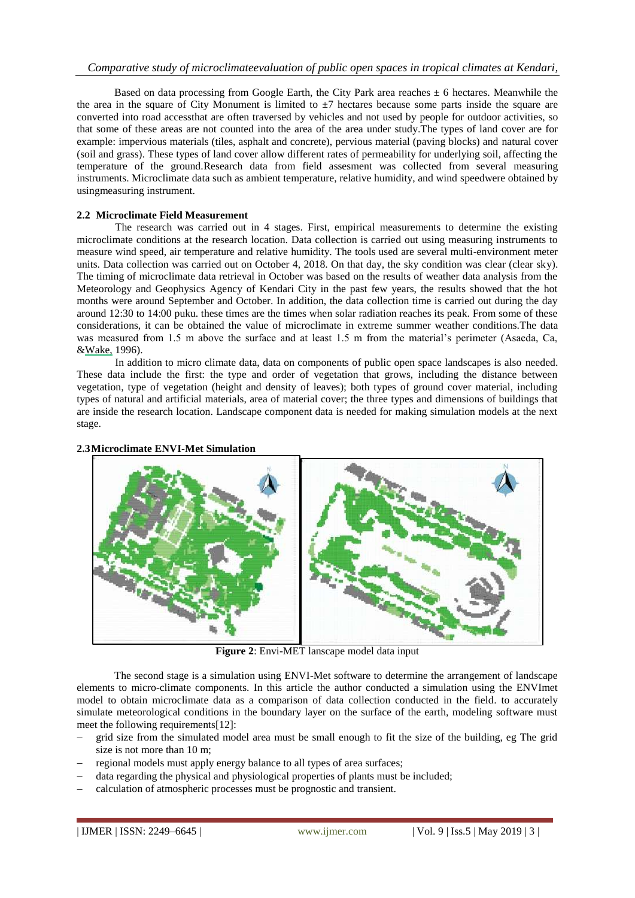Based on data processing from Google Earth, the City Park area reaches  $\pm$  6 hectares. Meanwhile the the area in the square of City Monument is limited to  $\pm$ 7 hectares because some parts inside the square are converted into road accessthat are often traversed by vehicles and not used by people for outdoor activities, so that some of these areas are not counted into the area of the area under study.The types of land cover are for example: impervious materials (tiles, asphalt and concrete), pervious material (paving blocks) and natural cover (soil and grass). These types of land cover allow different rates of permeability for underlying soil, affecting the temperature of the ground.Research data from field assesment was collected from several measuring instruments. Microclimate data such as ambient temperature, relative humidity, and wind speedwere obtained by usingmeasuring instrument.

## **2.2 Microclimate Field Measurement**

The research was carried out in 4 stages. First, empirical measurements to determine the existing microclimate conditions at the research location. Data collection is carried out using measuring instruments to measure wind speed, air temperature and relative humidity. The tools used are several multi-environment meter units. Data collection was carried out on October 4, 2018. On that day, the sky condition was clear (clear sky). The timing of microclimate data retrieval in October was based on the results of weather data analysis from the Meteorology and Geophysics Agency of Kendari City in the past few years, the results showed that the hot months were around September and October. In addition, the data collection time is carried out during the day around 12:30 to 14:00 puku. these times are the times when solar radiation reaches its peak. From some of these considerations, it can be obtained the value of microclimate in extreme summer weather conditions.The data was measured from 1.5 m above the surface and at least 1.5 m from the material's perimeter (Asaeda, Ca, &Wake, 1996).

In addition to micro climate data, data on components of public open space landscapes is also needed. These data include the first: the type and order of vegetation that grows, including the distance between vegetation, type of vegetation (height and density of leaves); both types of ground cover material, including types of natural and artificial materials, area of material cover; the three types and dimensions of buildings that are inside the research location. Landscape component data is needed for making simulation models at the next stage.

### **2.3Microclimate ENVI-Met Simulation**



**Figure 2**: Envi-MET lanscape model data input

The second stage is a simulation using ENVI-Met software to determine the arrangement of landscape elements to micro-climate components. In this article the author conducted a simulation using the ENVImet model to obtain microclimate data as a comparison of data collection conducted in the field. to accurately simulate meteorological conditions in the boundary layer on the surface of the earth, modeling software must meet the following requirements[12]:

- grid size from the simulated model area must be small enough to fit the size of the building, eg The grid size is not more than 10 m;
- regional models must apply energy balance to all types of area surfaces;
- data regarding the physical and physiological properties of plants must be included;
- calculation of atmospheric processes must be prognostic and transient.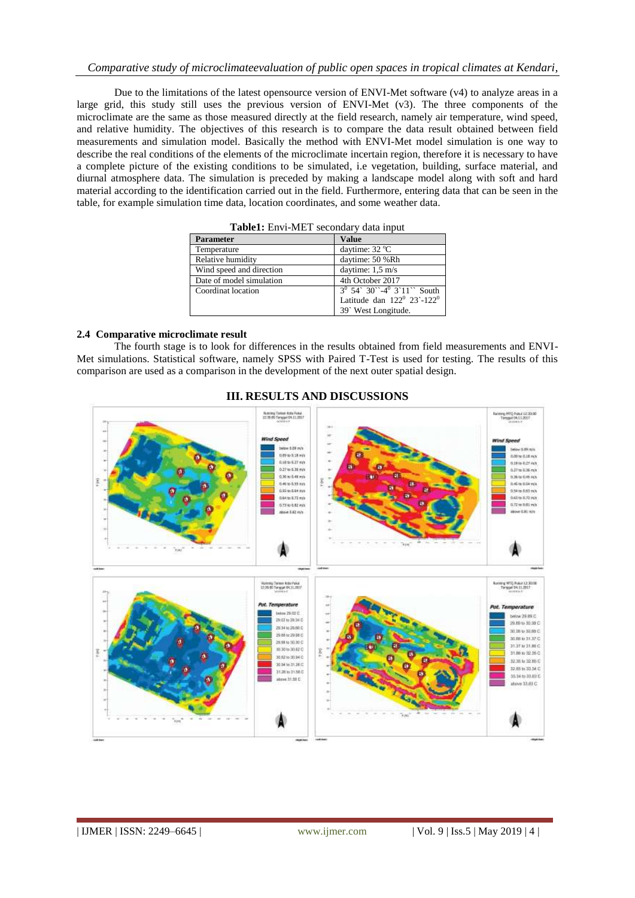## *Comparative study of microclimateevaluation of public open spaces in tropical climates at Kendari,*

Due to the limitations of the latest opensource version of ENVI-Met software (v4) to analyze areas in a large grid, this study still uses the previous version of ENVI-Met (v3). The three components of the microclimate are the same as those measured directly at the field research, namely air temperature, wind speed, and relative humidity. The objectives of this research is to compare the data result obtained between field measurements and simulation model. Basically the method with ENVI-Met model simulation is one way to describe the real conditions of the elements of the microclimate incertain region, therefore it is necessary to have a complete picture of the existing conditions to be simulated, i.e vegetation, building, surface material, and diurnal atmosphere data. The simulation is preceded by making a landscape model along with soft and hard material according to the identification carried out in the field. Furthermore, entering data that can be seen in the table, for example simulation time data, location coordinates, and some weather data.

| <b>Table1:</b> Envi-MET secondary data input |                                           |
|----------------------------------------------|-------------------------------------------|
| <b>Parameter</b>                             | <b>Value</b>                              |
| Temperature                                  | daytime: $32^{\circ}$ C                   |
| Relative humidity                            | daytime: 50 %Rh                           |
| Wind speed and direction                     | daytime: $1.5 \text{ m/s}$                |
| Date of model simulation                     | 4th October 2017                          |
| Coordinat location                           | $3^0$ 54° 30° -4 <sup>0</sup> 3°11° South |
|                                              | Latitude dan $122^0$ $23 - 122^0$         |
|                                              | 39° West Longitude.                       |

**Table1:** Envi-MET secondary data input

#### **2.4 Comparative microclimate result**

The fourth stage is to look for differences in the results obtained from field measurements and ENVI-Met simulations. Statistical software, namely SPSS with Paired T-Test is used for testing. The results of this comparison are used as a comparison in the development of the next outer spatial design.



### **III. RESULTS AND DISCUSSIONS**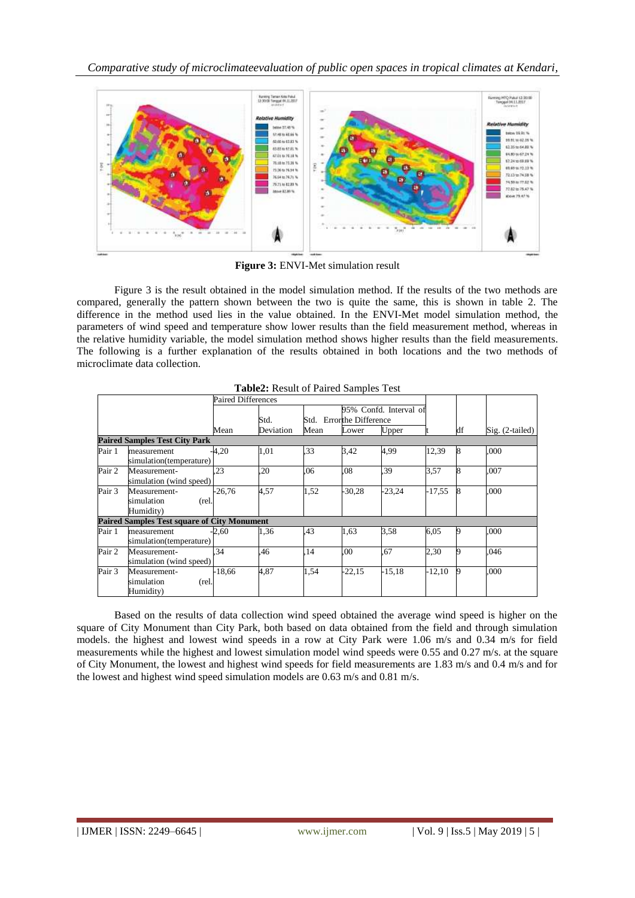*Comparative study of microclimateevaluation of public open spaces in tropical climates at Kendari,* 



**Figure 3:** ENVI-Met simulation result

Figure 3 is the result obtained in the model simulation method. If the results of the two methods are compared, generally the pattern shown between the two is quite the same, this is shown in table 2. The difference in the method used lies in the value obtained. In the ENVI-Met model simulation method, the parameters of wind speed and temperature show lower results than the field measurement method, whereas in the relative humidity variable, the model simulation method shows higher results than the field measurements. The following is a further explanation of the results obtained in both locations and the two methods of microclimate data collection.

|        |                                                    |                    | <b>Table2:</b> Result of Paired Samples Test |              |                              |                                 |          |          |                   |
|--------|----------------------------------------------------|--------------------|----------------------------------------------|--------------|------------------------------|---------------------------------|----------|----------|-------------------|
|        |                                                    | Paired Differences |                                              |              |                              |                                 |          |          |                   |
|        |                                                    | Mean               | Std.<br>Deviation                            | Std.<br>Mean | Errorthe Difference<br>Lower | 95% Confd. Interval of<br>Upper |          | df       | $Sig. (2-tailed)$ |
|        | <b>Paired Samples Test City Park</b>               |                    |                                              |              |                              |                                 |          |          |                   |
| Pair 1 | measurement<br>simulation(temperature)             | -4,20              | 1,01                                         | .33          | 3.42                         | 4.99                            | 12,39    | 8        | .000              |
| Pair 2 | Measurement-<br>simulation (wind speed)            | .23                | .20                                          | .06          | .08                          | .39                             | 3,57     | 8        | .007              |
| Pair 3 | Measurement-<br>simulation<br>(rel.<br>Humidity)   | $-26,76$           | 4,57                                         | 1,52         | $-30,28$                     | $-23,24$                        | $-17,55$ | <b>R</b> | .000              |
|        | <b>Paired Samples Test square of City Monument</b> |                    |                                              |              |                              |                                 |          |          |                   |
| Pair 1 | measurement<br>simulation(temperature)             | -2,60              | 1,36                                         | .43          | 1,63                         | 3.58                            | 6,05     | 9        | .000              |
| Pair 2 | Measurement-<br>simulation (wind speed)            | .34                | .46                                          | .14          | .00                          | .67                             | 2,30     | 9        | .046              |
| Pair 3 | Measurement-<br>simulation<br>(rel.<br>Humidity)   | $-18,66$           | 4,87                                         | 1,54         | $-22,15$                     | $-15,18$                        | $-12,10$ | 9        | .000              |

| Table2: Result of Paired Samples Test |
|---------------------------------------|
|---------------------------------------|

Based on the results of data collection wind speed obtained the average wind speed is higher on the square of City Monument than City Park, both based on data obtained from the field and through simulation models. the highest and lowest wind speeds in a row at City Park were 1.06 m/s and 0.34 m/s for field measurements while the highest and lowest simulation model wind speeds were 0.55 and 0.27 m/s. at the square of City Monument, the lowest and highest wind speeds for field measurements are 1.83 m/s and 0.4 m/s and for the lowest and highest wind speed simulation models are 0.63 m/s and 0.81 m/s.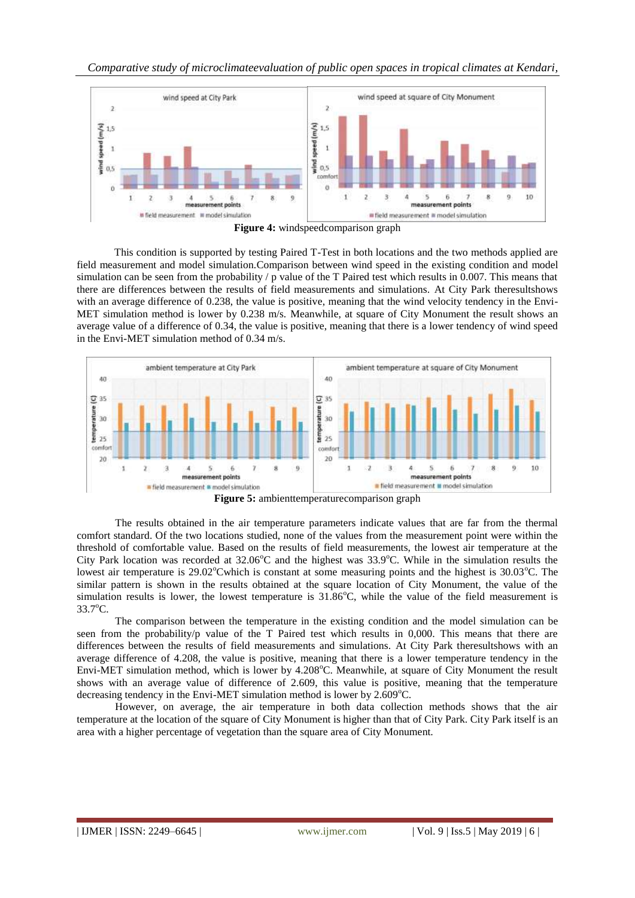



**Figure 4:** windspeedcomparison graph

This condition is supported by testing Paired T-Test in both locations and the two methods applied are field measurement and model simulation.Comparison between wind speed in the existing condition and model simulation can be seen from the probability / p value of the T Paired test which results in 0.007. This means that there are differences between the results of field measurements and simulations. At City Park theresultshows with an average difference of 0.238, the value is positive, meaning that the wind velocity tendency in the Envi-MET simulation method is lower by 0.238 m/s. Meanwhile, at square of City Monument the result shows an average value of a difference of 0.34, the value is positive, meaning that there is a lower tendency of wind speed in the Envi-MET simulation method of 0.34 m/s.



**Figure 5:** ambienttemperaturecomparison graph

The results obtained in the air temperature parameters indicate values that are far from the thermal comfort standard. Of the two locations studied, none of the values from the measurement point were within the threshold of comfortable value. Based on the results of field measurements, the lowest air temperature at the City Park location was recorded at  $32.06^{\circ}$ C and the highest was  $33.9^{\circ}$ C. While in the simulation results the lowest air temperature is  $29.02^{\circ}$ Cwhich is constant at some measuring points and the highest is  $30.03^{\circ}$ C. The similar pattern is shown in the results obtained at the square location of City Monument, the value of the simulation results is lower, the lowest temperature is  $31.86^{\circ}$ C, while the value of the field measurement is 33.7<sup>o</sup>C.

The comparison between the temperature in the existing condition and the model simulation can be seen from the probability/p value of the T Paired test which results in 0,000. This means that there are differences between the results of field measurements and simulations. At City Park theresultshows with an average difference of 4.208, the value is positive, meaning that there is a lower temperature tendency in the Envi-MET simulation method, which is lower by 4.208°C. Meanwhile, at square of City Monument the result shows with an average value of difference of 2.609, this value is positive, meaning that the temperature decreasing tendency in the Envi-MET simulation method is lower by  $2.609^{\circ}$ C.

However, on average, the air temperature in both data collection methods shows that the air temperature at the location of the square of City Monument is higher than that of City Park. City Park itself is an area with a higher percentage of vegetation than the square area of City Monument.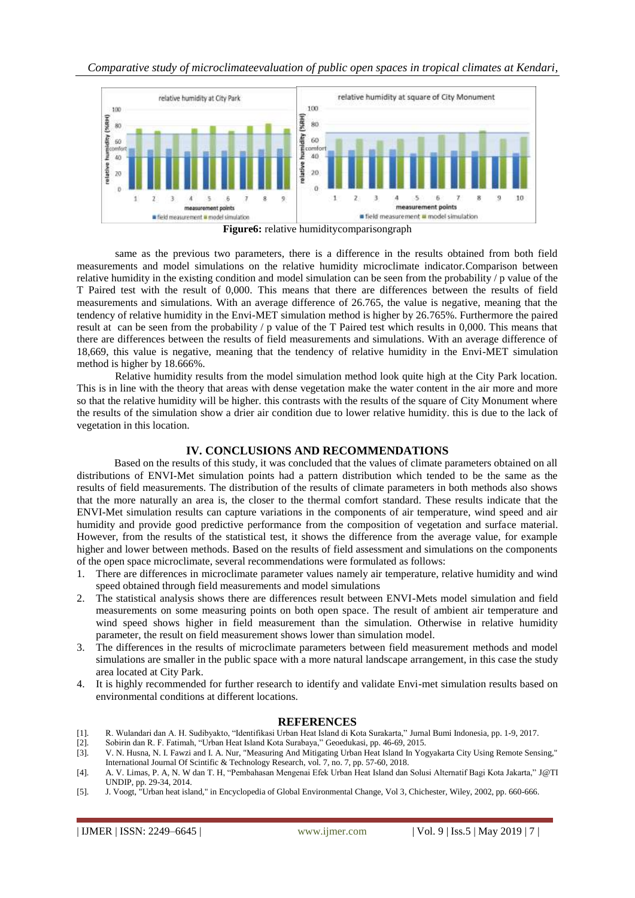*Comparative study of microclimateevaluation of public open spaces in tropical climates at Kendari,* 



same as the previous two parameters, there is a difference in the results obtained from both field measurements and model simulations on the relative humidity microclimate indicator.Comparison between relative humidity in the existing condition and model simulation can be seen from the probability / p value of the T Paired test with the result of 0,000. This means that there are differences between the results of field measurements and simulations. With an average difference of 26.765, the value is negative, meaning that the tendency of relative humidity in the Envi-MET simulation method is higher by 26.765%. Furthermore the paired result at can be seen from the probability / p value of the T Paired test which results in 0,000. This means that there are differences between the results of field measurements and simulations. With an average difference of 18,669, this value is negative, meaning that the tendency of relative humidity in the Envi-MET simulation method is higher by 18.666%.

Relative humidity results from the model simulation method look quite high at the City Park location. This is in line with the theory that areas with dense vegetation make the water content in the air more and more so that the relative humidity will be higher. this contrasts with the results of the square of City Monument where the results of the simulation show a drier air condition due to lower relative humidity. this is due to the lack of vegetation in this location.

#### **IV. CONCLUSIONS AND RECOMMENDATIONS**

Based on the results of this study, it was concluded that the values of climate parameters obtained on all distributions of ENVI-Met simulation points had a pattern distribution which tended to be the same as the results of field measurements. The distribution of the results of climate parameters in both methods also shows that the more naturally an area is, the closer to the thermal comfort standard. These results indicate that the ENVI-Met simulation results can capture variations in the components of air temperature, wind speed and air humidity and provide good predictive performance from the composition of vegetation and surface material. However, from the results of the statistical test, it shows the difference from the average value, for example higher and lower between methods. Based on the results of field assessment and simulations on the components of the open space microclimate, several recommendations were formulated as follows:

- 1. There are differences in microclimate parameter values namely air temperature, relative humidity and wind speed obtained through field measurements and model simulations
- 2. The statistical analysis shows there are differences result between ENVI-Mets model simulation and field measurements on some measuring points on both open space. The result of ambient air temperature and wind speed shows higher in field measurement than the simulation. Otherwise in relative humidity parameter, the result on field measurement shows lower than simulation model.
- 3. The differences in the results of microclimate parameters between field measurement methods and model simulations are smaller in the public space with a more natural landscape arrangement, in this case the study area located at City Park.
- 4. It is highly recommended for further research to identify and validate Envi-met simulation results based on environmental conditions at different locations.

#### **REFERENCES**

- [1]. R. Wulandari dan A. H. Sudibyakto, "Identifikasi Urban Heat Island di Kota Surakarta," Jurnal Bumi Indonesia, pp. 1-9, 2017.
- [2]. Sobirin dan R. F. Fatimah, "Urban Heat Island Kota Surabaya," Geoedukasi, pp. 46-69, 2015.
- [3]. V. N. Husna, N. I. Fawzi and I. A. Nur, "Measuring And Mitigating Urban Heat Island In Yogyakarta City Using Remote Sensing," International Journal Of Scintific & Technology Research, vol. 7, no. 7, pp. 57-60, 2018.
- [4]. A. V. Limas, P. A, N. W dan T. H, "Pembahasan Mengenai Efek Urban Heat Island dan Solusi Alternatif Bagi Kota Jakarta," J@TI UNDIP, pp. 29-34, 2014.
- [5]. J. Voogt, "Urban heat island," in Encyclopedia of Global Environmental Change, Vol 3, Chichester, Wiley, 2002, pp. 660-666.